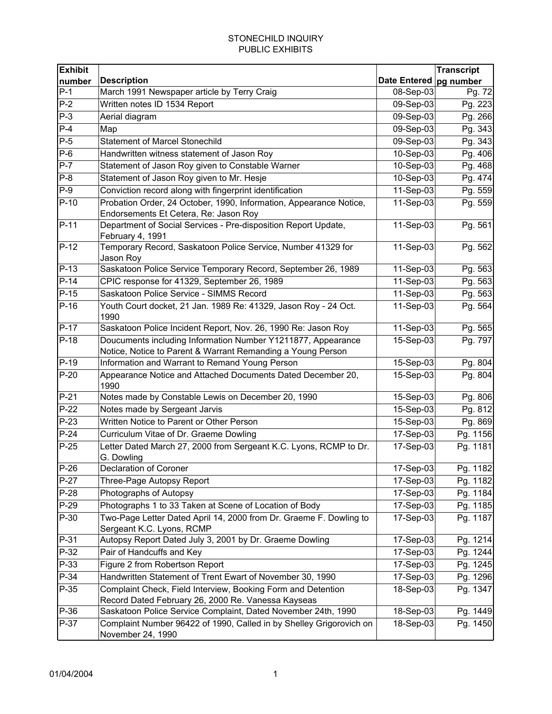| <b>Exhibit</b> |                                                                           |                          | <b>Transcript</b> |
|----------------|---------------------------------------------------------------------------|--------------------------|-------------------|
| number         | <b>Description</b>                                                        | Date Entered   pg number |                   |
| $P-1$          | March 1991 Newspaper article by Terry Craig                               | 08-Sep-03                | Pg. 72            |
| $P-2$          | Written notes ID 1534 Report                                              | 09-Sep-03                | Pg. 223           |
| $P-3$          | Aerial diagram                                                            | 09-Sep-03                | Pg. 266           |
| $P-4$          | Map                                                                       | 09-Sep-03                | Pg. 343           |
| $P-5$          | <b>Statement of Marcel Stonechild</b>                                     | 09-Sep-03                | Pg. 343           |
| $P-6$          | Handwritten witness statement of Jason Roy                                | 10-Sep-03                | Pg. 406           |
| $P-7$          | Statement of Jason Roy given to Constable Warner                          | 10-Sep-03                | Pg. 468           |
| $P-8$          | Statement of Jason Roy given to Mr. Hesje                                 | 10-Sep-03                | Pg. 474           |
| $P-9$          | Conviction record along with fingerprint identification                   | $11-Sep-03$              | Pg. 559           |
| $P-10$         | Probation Order, 24 October, 1990, Information, Appearance Notice,        | 11-Sep-03                | Pg. 559           |
|                | Endorsements Et Cetera, Re: Jason Roy                                     |                          |                   |
| $P-11$         | Department of Social Services - Pre-disposition Report Update,            | 11-Sep-03                | Pg. 561           |
|                | February 4, 1991                                                          |                          |                   |
| $P-12$         | Temporary Record, Saskatoon Police Service, Number 41329 for<br>Jason Roy | 11-Sep-03                | Pg. 562           |
| $P-13$         | Saskatoon Police Service Temporary Record, September 26, 1989             | 11-Sep-03                | Pg. 563           |
| $P-14$         | CPIC response for 41329, September 26, 1989                               | 11-Sep-03                | Pg. 563           |
| $P-15$         | Saskatoon Police Service - SIMMS Record                                   | 11-Sep-03                | Pg. 563           |
| $P-16$         | Youth Court docket, 21 Jan. 1989 Re: 41329, Jason Roy - 24 Oct.           | 11-Sep-03                | Pg. 564           |
|                | 1990                                                                      |                          |                   |
| $P-17$         | Saskatoon Police Incident Report, Nov. 26, 1990 Re: Jason Roy             | 11-Sep-03                | Pg. 565           |
| $P-18$         | Doucuments including Information Number Y1211877, Appearance              | 15-Sep-03                | Pg. 797           |
|                | Notice, Notice to Parent & Warrant Remanding a Young Person               |                          |                   |
| $P-19$         | Information and Warrant to Remand Young Person                            | 15-Sep-03                | Pg. 804           |
| $P-20$         | Appearance Notice and Attached Documents Dated December 20,<br>1990       | 15-Sep-03                | Pg. 804           |
| $P-21$         | Notes made by Constable Lewis on December 20, 1990                        | 15-Sep-03                | Pg. 806           |
| $P-22$         | Notes made by Sergeant Jarvis                                             | 15-Sep-03                | Pg. 812           |
| $P-23$         | Written Notice to Parent or Other Person                                  | 15-Sep-03                | Pg. 869           |
| $P-24$         | Curriculum Vitae of Dr. Graeme Dowling                                    | 17-Sep-03                | Pg. 1156          |
| $P-25$         | Letter Dated March 27, 2000 from Sergeant K.C. Lyons, RCMP to Dr.         | 17-Sep-03                | Pg. 1181          |
|                | G. Dowling                                                                |                          |                   |
| $P-26$         | <b>Declaration of Coroner</b>                                             | 17-Sep-03                | Pg. 1182          |
| $P-27$         | Three-Page Autopsy Report                                                 | 17-Sep-03                | Pg. 1182          |
| $P-28$         | Photographs of Autopsy                                                    | 17-Sep-03                | Pg. 1184          |
| $P-29$         | Photographs 1 to 33 Taken at Scene of Location of Body                    | 17-Sep-03                | Pg. 1185          |
| P-30           | Two-Page Letter Dated April 14, 2000 from Dr. Graeme F. Dowling to        | 17-Sep-03                | Pg. 1187          |
|                | Sergeant K.C. Lyons, RCMP                                                 |                          |                   |
| P-31           | Autopsy Report Dated July 3, 2001 by Dr. Graeme Dowling                   | 17-Sep-03                | Pg. 1214          |
| P-32           | Pair of Handcuffs and Key                                                 | 17-Sep-03                | Pg. 1244          |
| $P-33$         | Figure 2 from Robertson Report                                            | 17-Sep-03                | Pg. 1245          |
| P-34           | Handwritten Statement of Trent Ewart of November 30, 1990                 | 17-Sep-03                | Pg. 1296          |
| P-35           | Complaint Check, Field Interview, Booking Form and Detention              | 18-Sep-03                | Pg. 1347          |
|                | Record Dated February 26, 2000 Re. Vanessa Kayseas                        |                          |                   |
| P-36           | Saskatoon Police Service Complaint, Dated November 24th, 1990             | 18-Sep-03                | Pg. 1449          |
| P-37           | Complaint Number 96422 of 1990, Called in by Shelley Grigorovich on       | 18-Sep-03                | Pg. 1450          |
|                | November 24, 1990                                                         |                          |                   |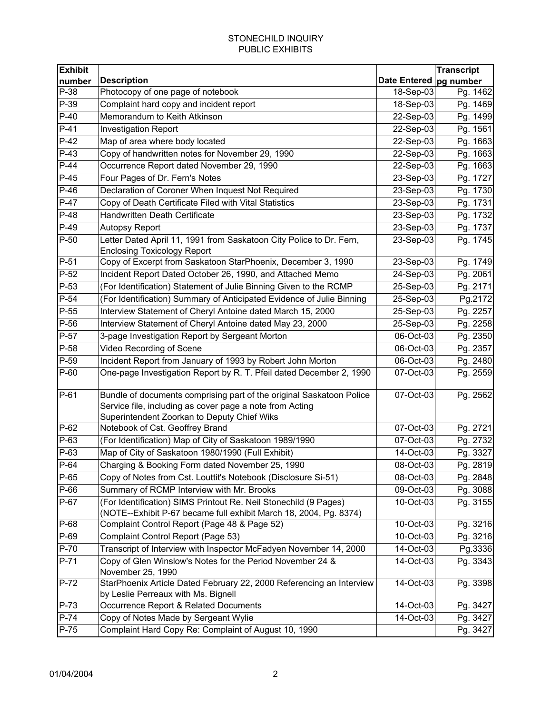| <b>Exhibit</b> |                                                                                                           |                          | <b>Transcript</b> |
|----------------|-----------------------------------------------------------------------------------------------------------|--------------------------|-------------------|
| number         | <b>Description</b>                                                                                        | Date Entered   pg number |                   |
| P-38           | Photocopy of one page of notebook                                                                         | 18-Sep-03                | Pg. 1462          |
| P-39           | Complaint hard copy and incident report                                                                   | 18-Sep-03                | Pg. 1469          |
| $P-40$         | Memorandum to Keith Atkinson                                                                              | 22-Sep-03                | Pg. 1499          |
| $P-41$         | <b>Investigation Report</b>                                                                               | 22-Sep-03                | Pg. 1561          |
| $P-42$         | Map of area where body located                                                                            | 22-Sep-03                | Pg. 1663          |
| $P-43$         | Copy of handwritten notes for November 29, 1990                                                           | 22-Sep-03                | Pg. 1663          |
| $P-44$         | Occurrence Report dated November 29, 1990                                                                 | 22-Sep-03                | Pg. 1663          |
| $P-45$         | Four Pages of Dr. Fern's Notes                                                                            | 23-Sep-03                | Pg. 1727          |
| $P-46$         | Declaration of Coroner When Inquest Not Required                                                          | 23-Sep-03                | Pg. 1730          |
| $P-47$         | Copy of Death Certificate Filed with Vital Statistics                                                     | 23-Sep-03                | Pg. 1731          |
| $P-48$         | Handwritten Death Certificate                                                                             | 23-Sep-03                | Pg. 1732          |
| $P-49$         | <b>Autopsy Report</b>                                                                                     | 23-Sep-03                | Pg. 1737          |
| $P-50$         | Letter Dated April 11, 1991 from Saskatoon City Police to Dr. Fern,<br><b>Enclosing Toxicology Report</b> | 23-Sep-03                | Pg. 1745          |
| $P-51$         | Copy of Excerpt from Saskatoon StarPhoenix, December 3, 1990                                              | 23-Sep-03                | Pg. 1749          |
| $P-52$         | Incident Report Dated October 26, 1990, and Attached Memo                                                 | 24-Sep-03                | Pg. 2061          |
| $P-53$         | (For Identification) Statement of Julie Binning Given to the RCMP                                         | 25-Sep-03                | Pg. 2171          |
| $P-54$         | (For Identification) Summary of Anticipated Evidence of Julie Binning                                     | 25-Sep-03                | Pg.2172           |
| $P-55$         | Interview Statement of Cheryl Antoine dated March 15, 2000                                                | 25-Sep-03                | Pg. 2257          |
| $P-56$         | Interview Statement of Cheryl Antoine dated May 23, 2000                                                  | 25-Sep-03                |                   |
| P-57           |                                                                                                           |                          | Pg. 2258          |
| P-58           | 3-page Investigation Report by Sergeant Morton                                                            | 06-Oct-03                | Pg. 2350          |
|                | Video Recording of Scene                                                                                  | 06-Oct-03                | Pg. 2357          |
| P-59           | Incident Report from January of 1993 by Robert John Morton                                                | 06-Oct-03                | Pg. 2480          |
| P-60           | One-page Investigation Report by R. T. Pfeil dated December 2, 1990                                       | 07-Oct-03                | Pg. 2559          |
| P-61           | Bundle of documents comprising part of the original Saskatoon Police                                      | 07-Oct-03                | Pg. 2562          |
|                | Service file, including as cover page a note from Acting                                                  |                          |                   |
|                | Superintendent Zoorkan to Deputy Chief Wiks                                                               |                          |                   |
| $P-62$         | Notebook of Cst. Geoffrey Brand                                                                           | 07-Oct-03                | Pg. 2721          |
| P-63           | (For Identification) Map of City of Saskatoon 1989/1990                                                   | 07-Oct-03                | Pg. 2732          |
| P-63           | Map of City of Saskatoon 1980/1990 (Full Exhibit)                                                         | 14-Oct-03                | Pg. 3327          |
| P-64           | Charging & Booking Form dated November 25, 1990                                                           | 08-Oct-03                | Pg. 2819          |
| $P-65$         | Copy of Notes from Cst. Louttit's Notebook (Disclosure Si-51)                                             | 08-Oct-03                | Pg. 2848          |
| P-66           | Summary of RCMP Interview with Mr. Brooks                                                                 | 09-Oct-03                | Pg. 3088          |
| P-67           | (For Identification) SIMS Printout Re. Neil Stonechild (9 Pages)                                          | 10-Oct-03                | Pg. 3155          |
|                | (NOTE--Exhibit P-67 became full exhibit March 18, 2004, Pg. 8374)                                         |                          |                   |
| P-68           | Complaint Control Report (Page 48 & Page 52)                                                              | 10-Oct-03                | Pg. 3216          |
| P-69           | Complaint Control Report (Page 53)                                                                        | 10-Oct-03                | Pg. 3216          |
| P-70           | Transcript of Interview with Inspector McFadyen November 14, 2000                                         | 14-Oct-03                | Pg.3336           |
| P-71           | Copy of Glen Winslow's Notes for the Period November 24 &                                                 | 14-Oct-03                | Pg. 3343          |
| P-72           | November 25, 1990<br>StarPhoenix Article Dated February 22, 2000 Referencing an Interview                 | 14-Oct-03                | Pg. 3398          |
|                | by Leslie Perreaux with Ms. Bignell                                                                       |                          |                   |
| P-73           | Occurrence Report & Related Documents                                                                     | 14-Oct-03                | Pg. 3427          |
| $P-74$         | Copy of Notes Made by Sergeant Wylie                                                                      | 14-Oct-03                | Pg. 3427          |
| P-75           | Complaint Hard Copy Re: Complaint of August 10, 1990                                                      |                          | Pg. 3427          |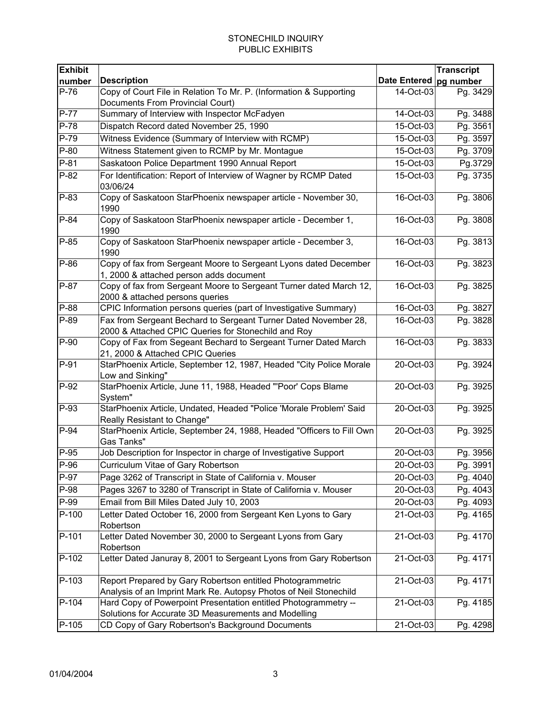| <b>Exhibit</b> |                                                                                                                                 |                          | <b>Transcript</b> |
|----------------|---------------------------------------------------------------------------------------------------------------------------------|--------------------------|-------------------|
| number         | <b>Description</b>                                                                                                              | Date Entered   pg number |                   |
| $P-76$         | Copy of Court File in Relation To Mr. P. (Information & Supporting                                                              | 14-Oct-03                | Pg. 3429          |
|                | Documents From Provincial Court)                                                                                                |                          |                   |
| $P-77$         | Summary of Interview with Inspector McFadyen                                                                                    | 14-Oct-03                | Pg. 3488          |
| $P-78$         | Dispatch Record dated November 25, 1990                                                                                         | 15-Oct-03                | Pg. 3561          |
| P-79           | Witness Evidence (Summary of Interview with RCMP)                                                                               | 15-Oct-03                | Pg. 3597          |
| $P-80$         | Witness Statement given to RCMP by Mr. Montague                                                                                 | 15-Oct-03                | Pg. 3709          |
| $P-81$         | Saskatoon Police Department 1990 Annual Report                                                                                  | 15-Oct-03                | Pg.3729           |
| $P-82$         | For Identification: Report of Interview of Wagner by RCMP Dated<br>03/06/24                                                     | 15-Oct-03                | Pg. 3735          |
| P-83           | Copy of Saskatoon StarPhoenix newspaper article - November 30,<br>1990                                                          | 16-Oct-03                | Pg. 3806          |
| $P-84$         | Copy of Saskatoon StarPhoenix newspaper article - December 1,<br>1990                                                           | 16-Oct-03                | Pg. 3808          |
| $P-85$         | Copy of Saskatoon StarPhoenix newspaper article - December 3,<br>1990                                                           | 16-Oct-03                | Pg. 3813          |
| $P-86$         | Copy of fax from Sergeant Moore to Sergeant Lyons dated December<br>1, 2000 & attached person adds document                     | 16-Oct-03                | Pg. 3823          |
| P-87           | Copy of fax from Sergeant Moore to Sergeant Turner dated March 12,<br>2000 & attached persons queries                           | 16-Oct-03                | Pg. 3825          |
| P-88           | CPIC Information persons queries (part of Investigative Summary)                                                                | 16-Oct-03                | Pg. 3827          |
| P-89           | Fax from Sergeant Bechard to Sergeant Turner Dated November 28,<br>2000 & Attached CPIC Queries for Stonechild and Roy          | 16-Oct-03                | Pg. 3828          |
| $P-90$         | Copy of Fax from Segeant Bechard to Sergeant Turner Dated March<br>21, 2000 & Attached CPIC Queries                             | 16-Oct-03                | Pg. 3833          |
| $P-91$         | StarPhoenix Article, September 12, 1987, Headed "City Police Morale<br>Low and Sinking"                                         | 20-Oct-03                | Pg. 3924          |
| $P-92$         | StarPhoenix Article, June 11, 1988, Headed "'Poor' Cops Blame<br>System"                                                        | 20-Oct-03                | Pg. 3925          |
| P-93           | StarPhoenix Article, Undated, Headed "Police 'Morale Problem' Said<br>Really Resistant to Change"                               | 20-Oct-03                | Pg. 3925          |
| $P-94$         | StarPhoenix Article, September 24, 1988, Headed "Officers to Fill Own<br>Gas Tanks"                                             | 20-Oct-03                | Pg. 3925          |
| $P-95$         | Job Description for Inspector in charge of Investigative Support                                                                | 20-Oct-03                | Pg. 3956          |
| $P-96$         | Curriculum Vitae of Gary Robertson                                                                                              | 20-Oct-03                | Pg. 3991          |
| P-97           | Page 3262 of Transcript in State of California v. Mouser                                                                        | 20-Oct-03                | Pg. 4040          |
| P-98           | Pages 3267 to 3280 of Transcript in State of California v. Mouser                                                               | 20-Oct-03                | Pg. 4043          |
| P-99           | Email from Bill Miles Dated July 10, 2003                                                                                       | 20-Oct-03                | Pg. 4093          |
| P-100          | Letter Dated October 16, 2000 from Sergeant Ken Lyons to Gary<br>Robertson                                                      | 21-Oct-03                | Pg. 4165          |
| P-101          | Letter Dated November 30, 2000 to Sergeant Lyons from Gary<br>Robertson                                                         | 21-Oct-03                | Pg. 4170          |
| P-102          | Letter Dated Januray 8, 2001 to Sergeant Lyons from Gary Robertson                                                              | 21-Oct-03                | Pg. 4171          |
| P-103          | Report Prepared by Gary Robertson entitled Photogrammetric<br>Analysis of an Imprint Mark Re. Autopsy Photos of Neil Stonechild | 21-Oct-03                | Pg. 4171          |
| P-104          | Hard Copy of Powerpoint Presentation entitled Photogrammetry --<br>Solutions for Accurate 3D Measurements and Modelling         | 21-Oct-03                | Pg. 4185          |
| P-105          | CD Copy of Gary Robertson's Background Documents                                                                                | 21-Oct-03                | Pg. 4298          |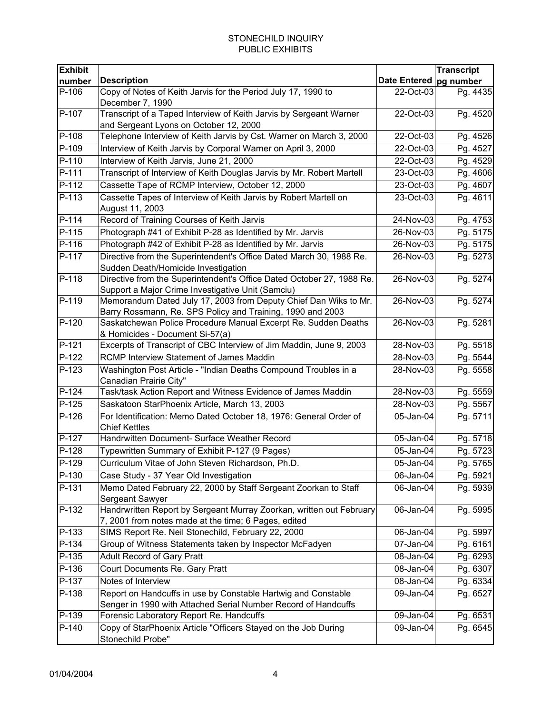| <b>Exhibit</b> |                                                                                                                                 | <b>Transcript</b>        |          |
|----------------|---------------------------------------------------------------------------------------------------------------------------------|--------------------------|----------|
| number         | <b>Description</b>                                                                                                              | Date Entered   pg number |          |
| P-106          | Copy of Notes of Keith Jarvis for the Period July 17, 1990 to<br>December 7, 1990                                               | 22-Oct-03                | Pg. 4435 |
| P-107          | Transcript of a Taped Interview of Keith Jarvis by Sergeant Warner<br>and Sergeant Lyons on October 12, 2000                    | 22-Oct-03                | Pg. 4520 |
| P-108          | Telephone Interview of Keith Jarvis by Cst. Warner on March 3, 2000                                                             | 22-Oct-03                | Pg. 4526 |
| P-109          | Interview of Keith Jarvis by Corporal Warner on April 3, 2000                                                                   | 22-Oct-03                | Pg. 4527 |
| P-110          | Interview of Keith Jarvis, June 21, 2000                                                                                        | 22-Oct-03                | Pg. 4529 |
| P-111          | Transcript of Interview of Keith Douglas Jarvis by Mr. Robert Martell                                                           | 23-Oct-03                | Pg. 4606 |
| P-112          | Cassette Tape of RCMP Interview, October 12, 2000                                                                               | 23-Oct-03                | Pg. 4607 |
| P-113          | Cassette Tapes of Interview of Keith Jarvis by Robert Martell on<br>August 11, 2003                                             | 23-Oct-03                | Pg. 4611 |
| P-114          | Record of Training Courses of Keith Jarvis                                                                                      | 24-Nov-03                | Pg. 4753 |
| $P-115$        | Photograph #41 of Exhibit P-28 as Identified by Mr. Jarvis                                                                      | 26-Nov-03                | Pg. 5175 |
| P-116          | Photograph #42 of Exhibit P-28 as Identified by Mr. Jarvis                                                                      | 26-Nov-03                | Pg. 5175 |
| P-117          | Directive from the Superintendent's Office Dated March 30, 1988 Re.<br>Sudden Death/Homicide Investigation                      | 26-Nov-03                | Pg. 5273 |
| P-118          | Directive from the Superintendent's Office Dated October 27, 1988 Re.<br>Support a Major Crime Investigative Unit (Samciu)      | 26-Nov-03                | Pg. 5274 |
| P-119          | Memorandum Dated July 17, 2003 from Deputy Chief Dan Wiks to Mr.<br>Barry Rossmann, Re. SPS Policy and Training, 1990 and 2003  | 26-Nov-03                | Pg. 5274 |
| $P-120$        | Saskatchewan Police Procedure Manual Excerpt Re. Sudden Deaths<br>& Homicides - Document Si-57(a)                               | 26-Nov-03                | Pg. 5281 |
| $P-121$        | Excerpts of Transcript of CBC Interview of Jim Maddin, June 9, 2003                                                             | 28-Nov-03                | Pg. 5518 |
| $P-122$        | RCMP Interview Statement of James Maddin                                                                                        | 28-Nov-03                | Pg. 5544 |
| P-123          | Washington Post Article - "Indian Deaths Compound Troubles in a<br>Canadian Prairie City"                                       | 28-Nov-03                | Pg. 5558 |
| $P-124$        | Task/task Action Report and Witness Evidence of James Maddin                                                                    | 28-Nov-03                | Pg. 5559 |
| $P-125$        | Saskatoon StarPhoenix Article, March 13, 2003                                                                                   | 28-Nov-03                | Pg. 5567 |
| P-126          | For Identification: Memo Dated October 18, 1976: General Order of<br><b>Chief Kettles</b>                                       | 05-Jan-04                | Pg. 5711 |
| P-127          | Handrwitten Document- Surface Weather Record                                                                                    | 05-Jan-04                | Pg. 5718 |
| $P-128$        | Typewritten Summary of Exhibit P-127 (9 Pages)                                                                                  | 05-Jan-04                | Pg. 5723 |
| P-129          | Curriculum Vitae of John Steven Richardson, Ph.D.                                                                               | 05-Jan-04                | Pg. 5765 |
| P-130          | Case Study - 37 Year Old Investigation                                                                                          | 06-Jan-04                | Pg. 5921 |
| P-131          | Memo Dated February 22, 2000 by Staff Sergeant Zoorkan to Staff<br>Sergeant Sawyer                                              | 06-Jan-04                | Pg. 5939 |
| P-132          | Handrwritten Report by Sergeant Murray Zoorkan, written out February<br>7, 2001 from notes made at the time; 6 Pages, edited    | 06-Jan-04                | Pg. 5995 |
| P-133          | SIMS Report Re. Neil Stonechild, February 22, 2000                                                                              | 06-Jan-04                | Pg. 5997 |
| P-134          | Group of Witness Statements taken by Inspector McFadyen                                                                         | 07-Jan-04                | Pg. 6161 |
| P-135          | <b>Adult Record of Gary Pratt</b>                                                                                               | 08-Jan-04                | Pg. 6293 |
| P-136          | Court Documents Re. Gary Pratt                                                                                                  | 08-Jan-04                | Pg. 6307 |
| P-137          | Notes of Interview                                                                                                              | 08-Jan-04                | Pg. 6334 |
| P-138          | Report on Handcuffs in use by Constable Hartwig and Constable<br>Senger in 1990 with Attached Serial Number Record of Handcuffs | 09-Jan-04                | Pg. 6527 |
| P-139          | Forensic Laboratory Report Re. Handcuffs                                                                                        | 09-Jan-04                | Pg. 6531 |
| $P-140$        | Copy of StarPhoenix Article "Officers Stayed on the Job During<br>Stonechild Probe"                                             | 09-Jan-04                | Pg. 6545 |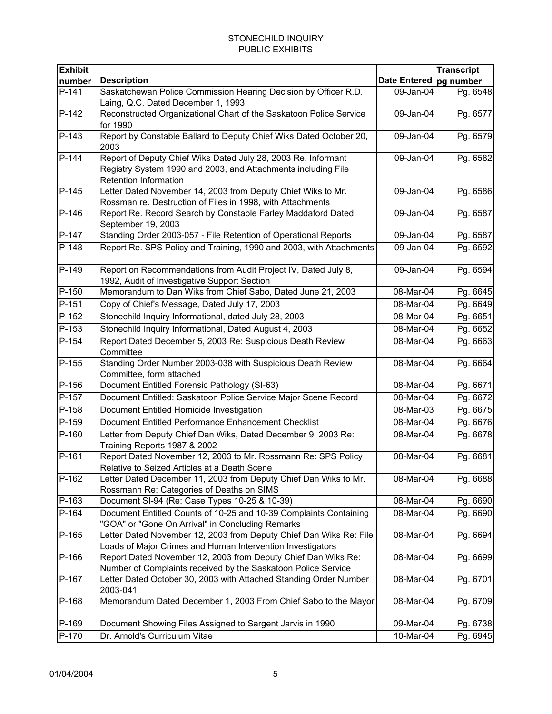| <b>Exhibit</b>      |                                                                                                                                                                |                          | <b>Transcript</b> |
|---------------------|----------------------------------------------------------------------------------------------------------------------------------------------------------------|--------------------------|-------------------|
| number              | <b>Description</b>                                                                                                                                             | Date Entered   pg number |                   |
| $P-141$             | Saskatchewan Police Commission Hearing Decision by Officer R.D.<br>Laing, Q.C. Dated December 1, 1993                                                          | 09-Jan-04                | Pg. 6548          |
| P-142               | Reconstructed Organizational Chart of the Saskatoon Police Service<br>for 1990                                                                                 | 09-Jan-04                | Pg. 6577          |
| $P-143$             | Report by Constable Ballard to Deputy Chief Wiks Dated October 20,<br>2003                                                                                     | 09-Jan-04                | Pg. 6579          |
| $P-144$             | Report of Deputy Chief Wiks Dated July 28, 2003 Re. Informant<br>Registry System 1990 and 2003, and Attachments including File<br><b>Retention Information</b> | 09-Jan-04                | Pg. 6582          |
| $P-145$             | Letter Dated November 14, 2003 from Deputy Chief Wiks to Mr.<br>Rossman re. Destruction of Files in 1998, with Attachments                                     | 09-Jan-04                | Pg. 6586          |
| P-146               | Report Re. Record Search by Constable Farley Maddaford Dated<br>September 19, 2003                                                                             | 09-Jan-04                | Pg. 6587          |
| P-147               | Standing Order 2003-057 - File Retention of Operational Reports                                                                                                | 09-Jan-04                | Pg. 6587          |
| P-148               | Report Re. SPS Policy and Training, 1990 and 2003, with Attachments                                                                                            | 09-Jan-04                | Pg. 6592          |
| P-149               | Report on Recommendations from Audit Project IV, Dated July 8,<br>1992, Audit of Investigative Support Section                                                 | 09-Jan-04                | Pg. 6594          |
| P-150               | Memorandum to Dan Wiks from Chief Sabo, Dated June 21, 2003                                                                                                    | 08-Mar-04                | Pg. 6645          |
| P-151               | Copy of Chief's Message, Dated July 17, 2003                                                                                                                   | 08-Mar-04                | Pg. 6649          |
| P-152               | Stonechild Inquiry Informational, dated July 28, 2003                                                                                                          | 08-Mar-04                | Pg. 6651          |
| P-153               | Stonechild Inquiry Informational, Dated August 4, 2003                                                                                                         | 08-Mar-04                | Pg. 6652          |
| P-154               | Report Dated December 5, 2003 Re: Suspicious Death Review<br>Committee                                                                                         | 08-Mar-04                | Pg. 6663          |
| $P-155$             | Standing Order Number 2003-038 with Suspicious Death Review<br>Committee, form attached                                                                        | 08-Mar-04                | Pg. 6664          |
| $\overline{P}$ -156 | Document Entitled Forensic Pathology (SI-63)                                                                                                                   | 08-Mar-04                | Pg. 6671          |
| P-157               | Document Entitled: Saskatoon Police Service Major Scene Record                                                                                                 | 08-Mar-04                | Pg. 6672          |
| P-158               | Document Entitled Homicide Investigation                                                                                                                       | 08-Mar-03                | Pg. 6675          |
| P-159               | Document Entitled Performance Enhancement Checklist                                                                                                            | 08-Mar-04                | Pg. 6676          |
| P-160               | Letter from Deputy Chief Dan Wiks, Dated December 9, 2003 Re:<br>Training Reports 1987 & 2002                                                                  | 08-Mar-04                | Pg. 6678          |
| P-161               | Report Dated November 12, 2003 to Mr. Rossmann Re: SPS Policy<br>Relative to Seized Articles at a Death Scene                                                  | 08-Mar-04                | Pg. 6681          |
| P-162               | Letter Dated December 11, 2003 from Deputy Chief Dan Wiks to Mr.<br>Rossmann Re: Categories of Deaths on SIMS                                                  | 08-Mar-04                | Pq. 6688          |
| P-163               | Document SI-94 (Re: Case Types 10-25 & 10-39)                                                                                                                  | 08-Mar-04                | Pg. 6690          |
| $P-164$             | Document Entitled Counts of 10-25 and 10-39 Complaints Containing<br>"GOA" or "Gone On Arrival" in Concluding Remarks                                          | 08-Mar-04                | Pg. 6690          |
| P-165               | Letter Dated November 12, 2003 from Deputy Chief Dan Wiks Re: File<br>Loads of Major Crimes and Human Intervention Investigators                               | 08-Mar-04                | Pg. 6694          |
| P-166               | Report Dated November 12, 2003 from Deputy Chief Dan Wiks Re:<br>Number of Complaints received by the Saskatoon Police Service                                 | 08-Mar-04                | Pg. 6699          |
| P-167               | Letter Dated October 30, 2003 with Attached Standing Order Number<br>2003-041                                                                                  | 08-Mar-04                | Pg. 6701          |
| P-168               | Memorandum Dated December 1, 2003 From Chief Sabo to the Mayor                                                                                                 | 08-Mar-04                | Pg. 6709          |
| P-169               | Document Showing Files Assigned to Sargent Jarvis in 1990                                                                                                      | 09-Mar-04                | Pg. 6738          |
| P-170               | Dr. Arnold's Curriculum Vitae                                                                                                                                  | 10-Mar-04                | Pg. 6945          |